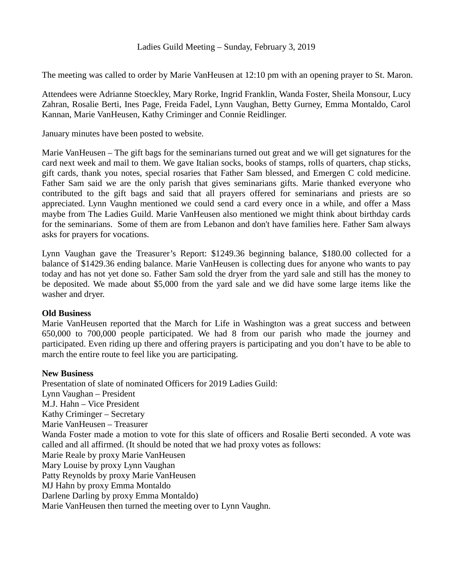## Ladies Guild Meeting – Sunday, February 3, 2019

The meeting was called to order by Marie VanHeusen at 12:10 pm with an opening prayer to St. Maron.

Attendees were Adrianne Stoeckley, Mary Rorke, Ingrid Franklin, Wanda Foster, Sheila Monsour, Lucy Zahran, Rosalie Berti, Ines Page, Freida Fadel, Lynn Vaughan, Betty Gurney, Emma Montaldo, Carol Kannan, Marie VanHeusen, Kathy Criminger and Connie Reidlinger.

January minutes have been posted to website.

Marie VanHeusen – The gift bags for the seminarians turned out great and we will get signatures for the card next week and mail to them. We gave Italian socks, books of stamps, rolls of quarters, chap sticks, gift cards, thank you notes, special rosaries that Father Sam blessed, and Emergen C cold medicine. Father Sam said we are the only parish that gives seminarians gifts. Marie thanked everyone who contributed to the gift bags and said that all prayers offered for seminarians and priests are so appreciated. Lynn Vaughn mentioned we could send a card every once in a while, and offer a Mass maybe from The Ladies Guild. Marie VanHeusen also mentioned we might think about birthday cards for the seminarians. Some of them are from Lebanon and don't have families here. Father Sam always asks for prayers for vocations.

Lynn Vaughan gave the Treasurer's Report: \$1249.36 beginning balance, \$180.00 collected for a balance of \$1429.36 ending balance. Marie VanHeusen is collecting dues for anyone who wants to pay today and has not yet done so. Father Sam sold the dryer from the yard sale and still has the money to be deposited. We made about \$5,000 from the yard sale and we did have some large items like the washer and dryer.

## **Old Business**

Marie VanHeusen reported that the March for Life in Washington was a great success and between 650,000 to 700,000 people participated. We had 8 from our parish who made the journey and participated. Even riding up there and offering prayers is participating and you don't have to be able to march the entire route to feel like you are participating.

## **New Business**

Presentation of slate of nominated Officers for 2019 Ladies Guild: Lynn Vaughan – President M.J. Hahn – Vice President Kathy Criminger – Secretary Marie VanHeusen – Treasurer Wanda Foster made a motion to vote for this slate of officers and Rosalie Berti seconded. A vote was called and all affirmed. (It should be noted that we had proxy votes as follows: Marie Reale by proxy Marie VanHeusen Mary Louise by proxy Lynn Vaughan Patty Reynolds by proxy Marie VanHeusen MJ Hahn by proxy Emma Montaldo Darlene Darling by proxy Emma Montaldo) Marie VanHeusen then turned the meeting over to Lynn Vaughn.